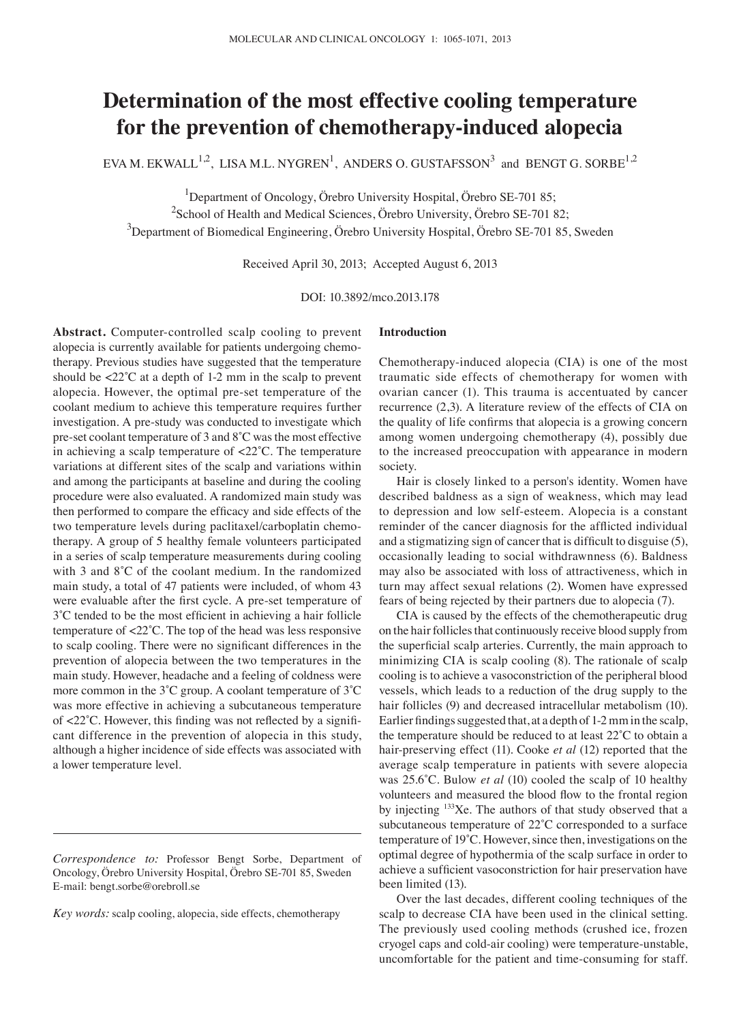# **Determination of the most effective cooling temperature for the prevention of chemotherapy‑induced alopecia**

EVA M. EKWALL<sup>1,2</sup>, LISA M.L. NYGREN<sup>1</sup>, ANDERS O. GUSTAFSSON<sup>3</sup> and BENGT G. SORBE<sup>1,2</sup>

<sup>1</sup>Department of Oncology, Örebro University Hospital, Örebro SE-701 85; <sup>2</sup> School of Health and Medical Sciences, Örebro University, Örebro SE-701 82; <sup>3</sup>Department of Biomedical Engineering, Örebro University Hospital, Örebro SE-701 85, Sweden

Received April 30, 2013; Accepted August 6, 2013

DOI: 10.3892/mco.2013.178

**Abstract.** Computer-controlled scalp cooling to prevent alopecia is currently available for patients undergoing chemotherapy. Previous studies have suggested that the temperature should be  $\langle 22^{\circ}$ C at a depth of 1-2 mm in the scalp to prevent alopecia. However, the optimal pre-set temperature of the coolant medium to achieve this temperature requires further investigation. A pre-study was conducted to investigate which pre‑set coolant temperature of 3 and 8˚C was the most effective in achieving a scalp temperature of <22˚C. The temperature variations at different sites of the scalp and variations within and among the participants at baseline and during the cooling procedure were also evaluated. A randomized main study was then performed to compare the efficacy and side effects of the two temperature levels during paclitaxel/carboplatin chemotherapy. A group of 5 healthy female volunteers participated in a series of scalp temperature measurements during cooling with 3 and 8°C of the coolant medium. In the randomized main study, a total of 47 patients were included, of whom 43 were evaluable after the first cycle. A pre‑set temperature of 3˚C tended to be the most efficient in achieving a hair follicle temperature of <22˚C. The top of the head was less responsive to scalp cooling. There were no significant differences in the prevention of alopecia between the two temperatures in the main study. However, headache and a feeling of coldness were more common in the 3˚C group. A coolant temperature of 3˚C was more effective in achieving a subcutaneous temperature of  $\langle 22^{\circ}$ C. However, this finding was not reflected by a significant difference in the prevention of alopecia in this study, although a higher incidence of side effects was associated with a lower temperature level.

*Key words:* scalp cooling, alopecia, side effects, chemotherapy

## **Introduction**

Chemotherapy-induced alopecia (CIA) is one of the most traumatic side effects of chemotherapy for women with ovarian cancer (1). This trauma is accentuated by cancer recurrence (2,3). A literature review of the effects of CIA on the quality of life confirms that alopecia is a growing concern among women undergoing chemotherapy (4), possibly due to the increased preoccupation with appearance in modern society.

Hair is closely linked to a person's identity. Women have described baldness as a sign of weakness, which may lead to depression and low self-esteem. Alopecia is a constant reminder of the cancer diagnosis for the afflicted individual and a stigmatizing sign of cancer that is difficult to disguise (5), occasionally leading to social withdrawnness (6). Baldness may also be associated with loss of attractiveness, which in turn may affect sexual relations (2). Women have expressed fears of being rejected by their partners due to alopecia (7).

CIA is caused by the effects of the chemotherapeutic drug on the hair follicles that continuously receive blood supply from the superficial scalp arteries. Currently, the main approach to minimizing CIA is scalp cooling (8). The rationale of scalp cooling is to achieve a vasoconstriction of the peripheral blood vessels, which leads to a reduction of the drug supply to the hair follicles (9) and decreased intracellular metabolism (10). Earlier findings suggested that, at a depth of 1‑2 mm in the scalp, the temperature should be reduced to at least 22˚C to obtain a hair-preserving effect (11). Cooke *et al* (12) reported that the average scalp temperature in patients with severe alopecia was 25.6˚C. Bulow *et al* (10) cooled the scalp of 10 healthy volunteers and measured the blood flow to the frontal region by injecting 133Xe. The authors of that study observed that a subcutaneous temperature of 22˚C corresponded to a surface temperature of 19˚C. However, since then, investigations on the optimal degree of hypothermia of the scalp surface in order to achieve a sufficient vasoconstriction for hair preservation have been limited (13).

Over the last decades, different cooling techniques of the scalp to decrease CIA have been used in the clinical setting. The previously used cooling methods (crushed ice, frozen cryogel caps and cold-air cooling) were temperature-unstable, uncomfortable for the patient and time-consuming for staff.

*Correspondence to:* Professor Bengt Sorbe, Department of Oncology, Örebro University Hospital, Örebro SE-701 85, Sweden E-mail: bengt.sorbe@orebroll.se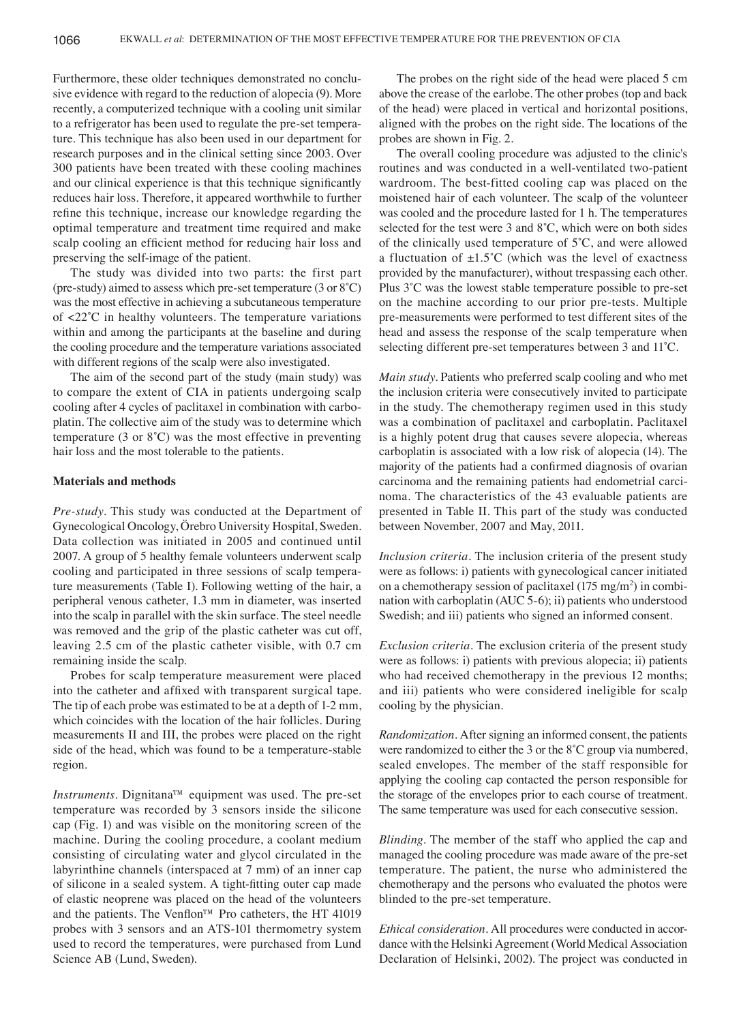Furthermore, these older techniques demonstrated no conclusive evidence with regard to the reduction of alopecia (9). More recently, a computerized technique with a cooling unit similar to a refrigerator has been used to regulate the pre-set temperature. This technique has also been used in our department for research purposes and in the clinical setting since 2003. Over 300 patients have been treated with these cooling machines and our clinical experience is that this technique significantly reduces hair loss. Therefore, it appeared worthwhile to further refine this technique, increase our knowledge regarding the optimal temperature and treatment time required and make scalp cooling an efficient method for reducing hair loss and preserving the self-image of the patient.

The study was divided into two parts: the first part (pre-study) aimed to assess which pre-set temperature  $(3 \text{ or } 8^{\circ}C)$ was the most effective in achieving a subcutaneous temperature of <22˚C in healthy volunteers. The temperature variations within and among the participants at the baseline and during the cooling procedure and the temperature variations associated with different regions of the scalp were also investigated.

The aim of the second part of the study (main study) was to compare the extent of CIA in patients undergoing scalp cooling after 4 cycles of paclitaxel in combination with carboplatin. The collective aim of the study was to determine which temperature (3 or 8˚C) was the most effective in preventing hair loss and the most tolerable to the patients.

## **Materials and methods**

*Pre‑study.* This study was conducted at the Department of Gynecological Oncology, Örebro University Hospital, Sweden. Data collection was initiated in 2005 and continued until 2007. A group of 5 healthy female volunteers underwent scalp cooling and participated in three sessions of scalp temperature measurements (Table I). Following wetting of the hair, a peripheral venous catheter, 1.3 mm in diameter, was inserted into the scalp in parallel with the skin surface. The steel needle was removed and the grip of the plastic catheter was cut off, leaving 2.5 cm of the plastic catheter visible, with 0.7 cm remaining inside the scalp.

Probes for scalp temperature measurement were placed into the catheter and affixed with transparent surgical tape. The tip of each probe was estimated to be at a depth of 1-2 mm, which coincides with the location of the hair follicles. During measurements II and III, the probes were placed on the right side of the head, which was found to be a temperature-stable region.

*Instruments*. Dignitana™ equipment was used. The pre-set temperature was recorded by 3 sensors inside the silicone cap (Fig. 1) and was visible on the monitoring screen of the machine. During the cooling procedure, a coolant medium consisting of circulating water and glycol circulated in the labyrinthine channels (interspaced at 7 mm) of an inner cap of silicone in a sealed system. A tight‑fitting outer cap made of elastic neoprene was placed on the head of the volunteers and the patients. The Venflon™ Pro catheters, the HT 41019 probes with 3 sensors and an ATS‑101 thermometry system used to record the temperatures, were purchased from Lund Science AB (Lund, Sweden).

The probes on the right side of the head were placed 5 cm above the crease of the earlobe. The other probes (top and back of the head) were placed in vertical and horizontal positions, aligned with the probes on the right side. The locations of the probes are shown in Fig. 2.

The overall cooling procedure was adjusted to the clinic's routines and was conducted in a well-ventilated two-patient wardroom. The best-fitted cooling cap was placed on the moistened hair of each volunteer. The scalp of the volunteer was cooled and the procedure lasted for 1 h. The temperatures selected for the test were 3 and 8˚C, which were on both sides of the clinically used temperature of 5˚C, and were allowed a fluctuation of  $\pm 1.5^{\circ}$ C (which was the level of exactness provided by the manufacturer), without trespassing each other. Plus 3<sup>°</sup>C was the lowest stable temperature possible to pre-set on the machine according to our prior pre-tests. Multiple pre-measurements were performed to test different sites of the head and assess the response of the scalp temperature when selecting different pre-set temperatures between 3 and 11<sup>°</sup>C.

*Main study.* Patients who preferred scalp cooling and who met the inclusion criteria were consecutively invited to participate in the study. The chemotherapy regimen used in this study was a combination of paclitaxel and carboplatin. Paclitaxel is a highly potent drug that causes severe alopecia, whereas carboplatin is associated with a low risk of alopecia (14). The majority of the patients had a confirmed diagnosis of ovarian carcinoma and the remaining patients had endometrial carcinoma. The characteristics of the 43 evaluable patients are presented in Table II. This part of the study was conducted between November, 2007 and May, 2011.

*Inclusion criteria.* The inclusion criteria of the present study were as follows: i) patients with gynecological cancer initiated on a chemotherapy session of paclitaxel  $(175 \text{ mg/m}^2)$  in combination with carboplatin (AUC 5-6); ii) patients who understood Swedish; and iii) patients who signed an informed consent.

*Exclusion criteria.* The exclusion criteria of the present study were as follows: i) patients with previous alopecia; ii) patients who had received chemotherapy in the previous 12 months; and iii) patients who were considered ineligible for scalp cooling by the physician.

*Randomization.* After signing an informed consent, the patients were randomized to either the 3 or the 8°C group via numbered, sealed envelopes. The member of the staff responsible for applying the cooling cap contacted the person responsible for the storage of the envelopes prior to each course of treatment. The same temperature was used for each consecutive session.

*Blinding.* The member of the staff who applied the cap and managed the cooling procedure was made aware of the pre-set temperature. The patient, the nurse who administered the chemotherapy and the persons who evaluated the photos were blinded to the pre-set temperature.

*Ethical consideration.* All procedures were conducted in accordance with the Helsinki Agreement (World Medical Association Declaration of Helsinki, 2002). The project was conducted in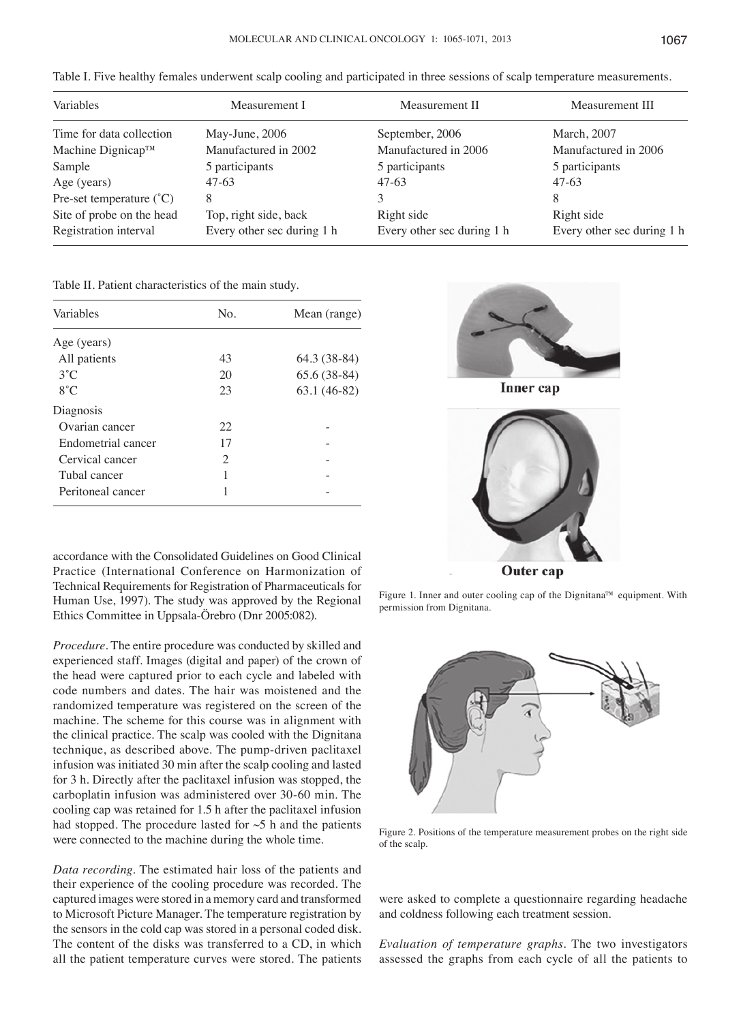| Variables                         | Measurement I              | Measurement II             | Measurement III            |
|-----------------------------------|----------------------------|----------------------------|----------------------------|
| Time for data collection          | May-June, 2006             | September, 2006            | March, 2007                |
| Machine Dignicap <sup>™</sup>     | Manufactured in 2002       | Manufactured in 2006       | Manufactured in 2006       |
| Sample                            | 5 participants             | 5 participants             | 5 participants             |
| Age (years)                       | $47-63$                    | $47-63$                    | $47-63$                    |
| Pre-set temperature $(^{\circ}C)$ | 8                          | 3                          | 8                          |
| Site of probe on the head         | Top, right side, back      | Right side                 | Right side                 |
| Registration interval             | Every other sec during 1 h | Every other sec during 1 h | Every other sec during 1 h |

Table I. Five healthy females underwent scalp cooling and participated in three sessions of scalp temperature measurements.

Table II. Patient characteristics of the main study.

| Variables          | No. | Mean (range)  |
|--------------------|-----|---------------|
| Age (years)        |     |               |
| All patients       | 43  | 64.3 (38-84)  |
| $3^{\circ}C$       | 20  | $65.6(38-84)$ |
| $8^{\circ}$ C      | 23  | $63.1(46-82)$ |
| Diagnosis          |     |               |
| Ovarian cancer     | 22  |               |
| Endometrial cancer | 17  |               |
| Cervical cancer    | 2   |               |
| Tubal cancer       | 1   |               |
| Peritoneal cancer  |     |               |
|                    |     |               |



Inner cap



accordance with the Consolidated Guidelines on Good Clinical Practice (International Conference on Harmonization of Technical Requirements for Registration of Pharmaceuticals for Human Use, 1997). The study was approved by the Regional Ethics Committee in Uppsala-Örebro (Dnr 2005:082).

*Procedure.* The entire procedure was conducted by skilled and experienced staff. Images (digital and paper) of the crown of the head were captured prior to each cycle and labeled with code numbers and dates. The hair was moistened and the randomized temperature was registered on the screen of the machine. The scheme for this course was in alignment with the clinical practice. The scalp was cooled with the Dignitana technique, as described above. The pump-driven paclitaxel infusion was initiated 30 min after the scalp cooling and lasted for 3 h. Directly after the paclitaxel infusion was stopped, the carboplatin infusion was administered over 30‑60 min. The cooling cap was retained for 1.5 h after the paclitaxel infusion had stopped. The procedure lasted for  $\sim$ 5 h and the patients were connected to the machine during the whole time.

*Data recording.* The estimated hair loss of the patients and their experience of the cooling procedure was recorded. The captured images were stored in a memory card and transformed to Microsoft Picture Manager. The temperature registration by the sensors in the cold cap was stored in a personal coded disk. The content of the disks was transferred to a CD, in which all the patient temperature curves were stored. The patients

Figure 1. Inner and outer cooling cap of the Dignitana™ equipment. With permission from Dignitana.



Figure 2. Positions of the temperature measurement probes on the right side of the scalp.

were asked to complete a questionnaire regarding headache and coldness following each treatment session.

*Evaluation of temperature graphs.* The two investigators assessed the graphs from each cycle of all the patients to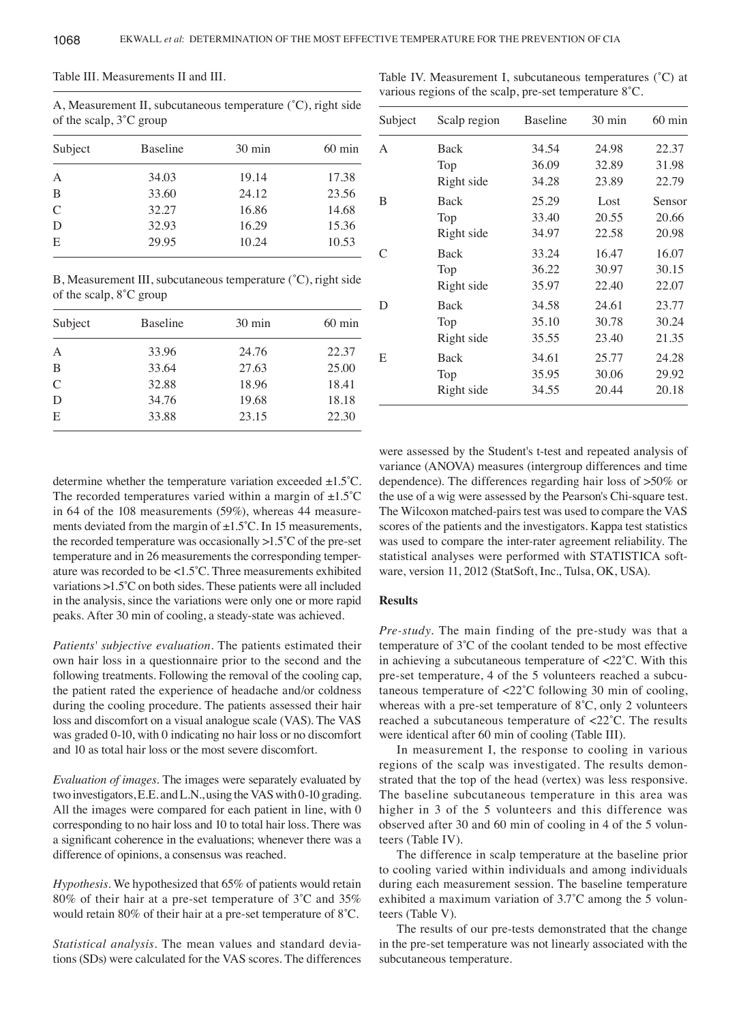| Table III. Measurements II and III. |
|-------------------------------------|
|-------------------------------------|

A, Measurement II, subcutaneous temperature (˚C), right side of the scalp, 3˚C group

| Subject       | <b>Baseline</b> | $30 \text{ min}$ | $60 \text{ min}$ |
|---------------|-----------------|------------------|------------------|
| A             | 34.03           | 19.14            | 17.38            |
| B             | 33.60           | 24.12            | 23.56            |
| $\mathcal{C}$ | 32.27           | 16.86            | 14.68            |
| D             | 32.93           | 16.29            | 15.36            |
| E             | 29.95           | 10.24            | 10.53            |
|               |                 |                  |                  |

B, Measurement III, subcutaneous temperature (˚C), right side of the scalp, 8˚C group

| Subject | <b>Baseline</b> | $30 \text{ min}$ | $60 \text{ min}$ |
|---------|-----------------|------------------|------------------|
| А       | 33.96           | 24.76            | 22.37            |
| B       | 33.64           | 27.63            | 25.00            |
| C       | 32.88           | 18.96            | 18.41            |
| D       | 34.76           | 19.68            | 18.18            |
| E       | 33.88           | 23.15            | 22.30            |

Table IV. Measurement I, subcutaneous temperatures (˚C) at various regions of the scalp, pre‑set temperature 8˚C.

| Subject | Scalp region | <b>Baseline</b> | $30 \text{ min}$ | $60 \text{ min}$ |
|---------|--------------|-----------------|------------------|------------------|
| A       | Back         | 34.54           | 24.98            | 22.37            |
|         | Top          | 36.09           | 32.89            | 31.98            |
|         | Right side   | 34.28           | 23.89            | 22.79            |
| В       | <b>Back</b>  | 25.29           | Lost             | Sensor           |
|         | Top          | 33.40           | 20.55            | 20.66            |
|         | Right side   | 34.97           | 22.58            | 20.98            |
| C       | Back         | 33.24           | 16.47            | 16.07            |
|         | Top          | 36.22           | 30.97            | 30.15            |
|         | Right side   | 35.97           | 22.40            | 22.07            |
| D       | <b>Back</b>  | 34.58           | 24.61            | 23.77            |
|         | Top          | 35.10           | 30.78            | 30.24            |
|         | Right side   | 35.55           | 23.40            | 21.35            |
| E       | <b>Back</b>  | 34.61           | 25.77            | 24.28            |
|         | Top          | 35.95           | 30.06            | 29.92            |
|         | Right side   | 34.55           | 20.44            | 20.18            |

determine whether the temperature variation exceeded  $\pm 1.5^{\circ}$ C. The recorded temperatures varied within a margin of  $\pm 1.5^{\circ}$ C in 64 of the 108 measurements (59%), whereas 44 measurements deviated from the margin of  $\pm 1.5^{\circ}$ C. In 15 measurements, the recorded temperature was occasionally  $>1.5^{\circ}$ C of the pre-set temperature and in 26 measurements the corresponding temperature was recorded to be <1.5˚C. Three measurements exhibited variations >1.5˚C on both sides. These patients were all included in the analysis, since the variations were only one or more rapid peaks. After 30 min of cooling, a steady-state was achieved.

*Patients' subjective evaluation.* The patients estimated their own hair loss in a questionnaire prior to the second and the following treatments. Following the removal of the cooling cap, the patient rated the experience of headache and/or coldness during the cooling procedure. The patients assessed their hair loss and discomfort on a visual analogue scale (VAS). The VAS was graded 0-10, with 0 indicating no hair loss or no discomfort and 10 as total hair loss or the most severe discomfort.

*Evaluation of images.* The images were separately evaluated by two investigators, E.E. and L.N., using the VAS with 0-10 grading. All the images were compared for each patient in line, with 0 corresponding to no hair loss and 10 to total hair loss. There was a significant coherence in the evaluations; whenever there was a difference of opinions, a consensus was reached.

*Hypothesis.* We hypothesized that 65% of patients would retain 80% of their hair at a pre‑set temperature of 3˚C and 35% would retain 80% of their hair at a pre‑set temperature of 8˚C.

*Statistical analysis.* The mean values and standard deviations (SDs) were calculated for the VAS scores. The differences were assessed by the Student's t-test and repeated analysis of variance (ANOVA) measures (intergroup differences and time dependence). The differences regarding hair loss of >50% or the use of a wig were assessed by the Pearson's Chi-square test. The Wilcoxon matched-pairs test was used to compare the VAS scores of the patients and the investigators. Kappa test statistics was used to compare the inter-rater agreement reliability. The statistical analyses were performed with STATISTICA software, version 11, 2012 (StatSoft, Inc., Tulsa, OK, USA).

## **Results**

*Pre‑study.* The main finding of the pre‑study was that a temperature of 3˚C of the coolant tended to be most effective in achieving a subcutaneous temperature of <22˚C. With this pre-set temperature, 4 of the 5 volunteers reached a subcutaneous temperature of <22˚C following 30 min of cooling, whereas with a pre-set temperature of  $8^{\circ}$ C, only 2 volunteers reached a subcutaneous temperature of <22˚C. The results were identical after 60 min of cooling (Table III).

In measurement I, the response to cooling in various regions of the scalp was investigated. The results demonstrated that the top of the head (vertex) was less responsive. The baseline subcutaneous temperature in this area was higher in 3 of the 5 volunteers and this difference was observed after 30 and 60 min of cooling in 4 of the 5 volunteers (Table IV).

The difference in scalp temperature at the baseline prior to cooling varied within individuals and among individuals during each measurement session. The baseline temperature exhibited a maximum variation of 3.7˚C among the 5 volunteers (Table V).

The results of our pre-tests demonstrated that the change in the pre-set temperature was not linearly associated with the subcutaneous temperature.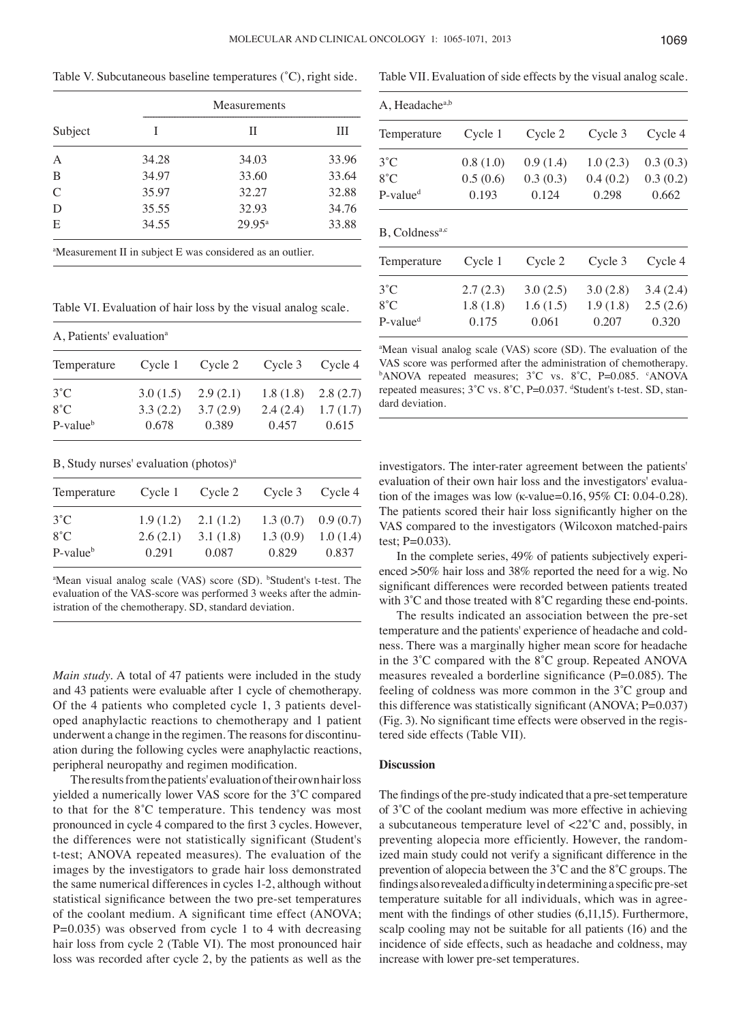Table V. Subcutaneous baseline temperatures (˚C), right side.

|               |       | Measurements       |       |  |  |
|---------------|-------|--------------------|-------|--|--|
| Subject       |       | П                  | Ш     |  |  |
| A             | 34.28 | 34.03              | 33.96 |  |  |
| B             | 34.97 | 33.60              | 33.64 |  |  |
| $\mathcal{C}$ | 35.97 | 32.27              | 32.88 |  |  |
| D             | 35.55 | 32.93              | 34.76 |  |  |
| Е             | 34.55 | $29.95^{\text{a}}$ | 33.88 |  |  |

a Measurement II in subject E was considered as an outlier.

Table VI. Evaluation of hair loss by the visual analog scale.

| A, Patients' evaluation <sup>a</sup> |          |          |                       |          |  |
|--------------------------------------|----------|----------|-----------------------|----------|--|
| Temperature                          | Cycle 1  | Cycle 2  | Cycle 3               | Cycle 4  |  |
| $3^{\circ}$ C                        | 3.0(1.5) | 2.9(2.1) | $1.8(1.8)$ $2.8(2.7)$ |          |  |
| $8^{\circ}$ C                        | 3.3(2.2) | 3.7(2.9) | 2.4(2.4)              | 1.7(1.7) |  |
| $P-valueb$                           | 0.678    | 0.389    | 0.457                 | 0.615    |  |

B, Study nurses' evaluation (photos)<sup>a</sup>

| Temperature   | Cycle 1  | Cycle 2  | Cycle 3  | Cycle 4              |
|---------------|----------|----------|----------|----------------------|
| $3^{\circ}$ C | 1.9(1.2) | 2.1(1.2) |          | $1.3(0.7)$ 0.9 (0.7) |
| $8^{\circ}$ C | 2.6(2.1) | 3.1(1.8) | 1.3(0.9) | 1.0(1.4)             |
| $P-valueb$    | 0.291    | 0.087    | 0.829    | 0.837                |

<sup>a</sup>Mean visual analog scale (VAS) score (SD). <sup>b</sup>Student's t-test. The evaluation of the VAS-score was performed 3 weeks after the administration of the chemotherapy. SD, standard deviation.

*Main study.* A total of 47 patients were included in the study and 43 patients were evaluable after 1 cycle of chemotherapy. Of the 4 patients who completed cycle 1, 3 patients developed anaphylactic reactions to chemotherapy and 1 patient underwent a change in the regimen. The reasons for discontinuation during the following cycles were anaphylactic reactions, peripheral neuropathy and regimen modification.

The results from the patients' evaluation of their own hair loss yielded a numerically lower VAS score for the 3˚C compared to that for the 8˚C temperature. This tendency was most pronounced in cycle 4 compared to the first 3 cycles. However, the differences were not statistically significant (Student's t‑test; ANOVA repeated measures). The evaluation of the images by the investigators to grade hair loss demonstrated the same numerical differences in cycles 1-2, although without statistical significance between the two pre‑set temperatures of the coolant medium. A significant time effect (ANOVA; P=0.035) was observed from cycle 1 to 4 with decreasing hair loss from cycle 2 (Table VI). The most pronounced hair loss was recorded after cycle 2, by the patients as well as the Table VII. Evaluation of side effects by the visual analog scale.

| A, Headache <sup>a,b</sup>    |          |          |          |          |
|-------------------------------|----------|----------|----------|----------|
| Temperature                   | Cycle 1  | Cycle 2  | Cycle 3  | Cycle 4  |
| $3^{\circ}$ C                 | 0.8(1.0) | 0.9(1.4) | 1.0(2.3) | 0.3(0.3) |
| $8^{\circ}$ C                 | 0.5(0.6) | 0.3(0.3) | 0.4(0.2) | 0.3(0.2) |
| $P-valued$                    | 0.193    | 0.124    | 0.298    | 0.662    |
| $B$ , Coldness <sup>a,c</sup> |          |          |          |          |
| Temperature                   | Cycle 1  | Cycle 2  | Cycle 3  | Cycle 4  |
| $3^{\circ}$ C                 | 2.7(2.3) | 3.0(2.5) | 3.0(2.8) | 3.4(2.4) |
| $8^{\circ}$ C                 | 1.8(1.8) | 1.6(1.5) | 1.9(1.8) | 2.5(2.6) |
| $P-valued$                    | 0.175    | 0.061    | 0.207    | 0.320    |

a Mean visual analog scale (VAS) score (SD). The evaluation of the VAS score was performed after the administration of chemotherapy. ANOVA repeated measures; 3°C vs. 8°C, P=0.085. °ANOVA repeated measures;  $3^{\circ}$ C vs.  $8^{\circ}$ C, P=0.037. dStudent's t-test. SD, standard deviation.

investigators. The inter-rater agreement between the patients' evaluation of their own hair loss and the investigators' evaluation of the images was low ( $\kappa$ -value=0.16, 95% CI: 0.04-0.28). The patients scored their hair loss significantly higher on the VAS compared to the investigators (Wilcoxon matched-pairs test; P=0.033).

In the complete series, 49% of patients subjectively experienced >50% hair loss and 38% reported the need for a wig. No significant differences were recorded between patients treated with 3°C and those treated with 8°C regarding these end-points.

The results indicated an association between the pre-set temperature and the patients' experience of headache and coldness. There was a marginally higher mean score for headache in the 3˚C compared with the 8˚C group. Repeated ANOVA measures revealed a borderline significance (P=0.085). The feeling of coldness was more common in the 3˚C group and this difference was statistically significant  $(ANOVA; P=0.037)$ (Fig. 3). No significant time effects were observed in the registered side effects (Table VII).

### **Discussion**

The findings of the pre‑study indicated that a pre‑set temperature of 3˚C of the coolant medium was more effective in achieving a subcutaneous temperature level of <22˚C and, possibly, in preventing alopecia more efficiently. However, the randomized main study could not verify a significant difference in the prevention of alopecia between the 3˚C and the 8˚C groups. The findings also revealed a difficulty in determining a specific pre‑set temperature suitable for all individuals, which was in agreement with the findings of other studies (6,11,15). Furthermore, scalp cooling may not be suitable for all patients (16) and the incidence of side effects, such as headache and coldness, may increase with lower pre-set temperatures.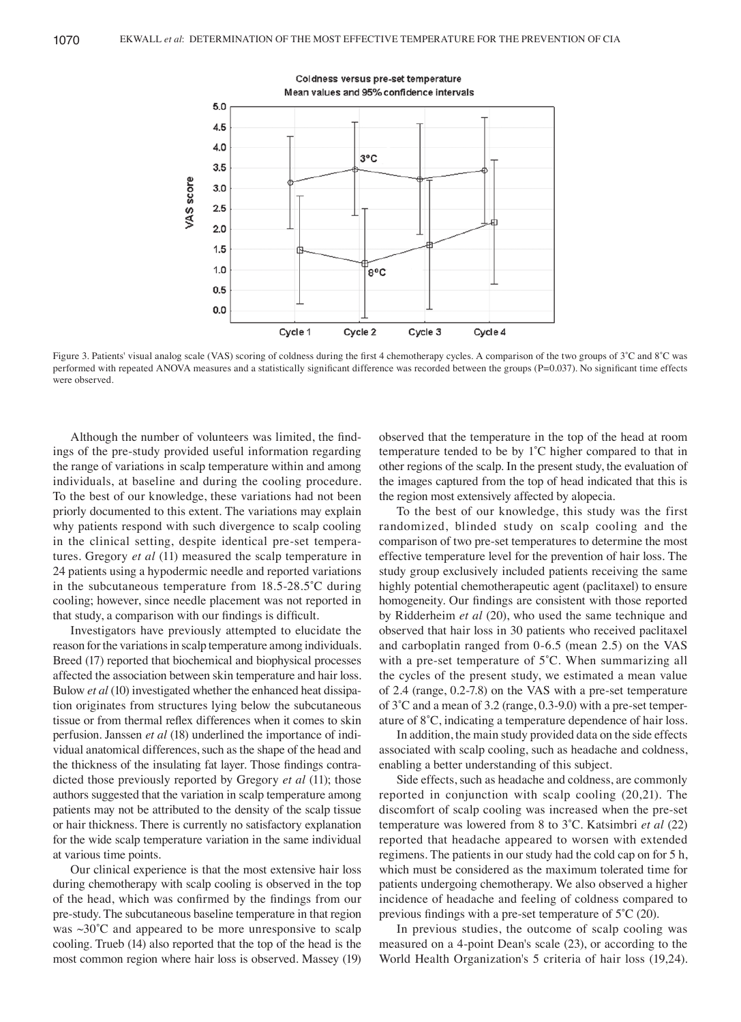

Figure 3. Patients' visual analog scale (VAS) scoring of coldness during the first 4 chemotherapy cycles. A comparison of the two groups of 3˚C and 8˚C was performed with repeated ANOVA measures and a statistically significant difference was recorded between the groups (P=0.037). No significant time effects were observed.

Although the number of volunteers was limited, the findings of the pre-study provided useful information regarding the range of variations in scalp temperature within and among individuals, at baseline and during the cooling procedure. To the best of our knowledge, these variations had not been priorly documented to this extent. The variations may explain why patients respond with such divergence to scalp cooling in the clinical setting, despite identical pre-set temperatures. Gregory *et al* (11) measured the scalp temperature in 24 patients using a hypodermic needle and reported variations in the subcutaneous temperature from 18.5-28.5˚C during cooling; however, since needle placement was not reported in that study, a comparison with our findings is difficult.

Investigators have previously attempted to elucidate the reason for the variations in scalp temperature among individuals. Breed (17) reported that biochemical and biophysical processes affected the association between skin temperature and hair loss. Bulow *et al* (10) investigated whether the enhanced heat dissipation originates from structures lying below the subcutaneous tissue or from thermal reflex differences when it comes to skin perfusion. Janssen *et al* (18) underlined the importance of individual anatomical differences, such as the shape of the head and the thickness of the insulating fat layer. Those findings contradicted those previously reported by Gregory *et al* (11); those authors suggested that the variation in scalp temperature among patients may not be attributed to the density of the scalp tissue or hair thickness. There is currently no satisfactory explanation for the wide scalp temperature variation in the same individual at various time points.

Our clinical experience is that the most extensive hair loss during chemotherapy with scalp cooling is observed in the top of the head, which was confirmed by the findings from our pre‑study. The subcutaneous baseline temperature in that region was  $\sim 30^{\circ}$ C and appeared to be more unresponsive to scalp cooling. Trueb (14) also reported that the top of the head is the most common region where hair loss is observed. Massey (19) observed that the temperature in the top of the head at room temperature tended to be by 1˚C higher compared to that in other regions of the scalp. In the present study, the evaluation of the images captured from the top of head indicated that this is the region most extensively affected by alopecia.

To the best of our knowledge, this study was the first randomized, blinded study on scalp cooling and the comparison of two pre-set temperatures to determine the most effective temperature level for the prevention of hair loss. The study group exclusively included patients receiving the same highly potential chemotherapeutic agent (paclitaxel) to ensure homogeneity. Our findings are consistent with those reported by Ridderheim *et al* (20), who used the same technique and observed that hair loss in 30 patients who received paclitaxel and carboplatin ranged from 0-6.5 (mean 2.5) on the VAS with a pre-set temperature of 5°C. When summarizing all the cycles of the present study, we estimated a mean value of 2.4 (range, 0.2-7.8) on the VAS with a pre-set temperature of 3˚C and a mean of 3.2 (range, 0.3‑9.0) with a pre‑set temperature of 8˚C, indicating a temperature dependence of hair loss.

In addition, the main study provided data on the side effects associated with scalp cooling, such as headache and coldness, enabling a better understanding of this subject.

Side effects, such as headache and coldness, are commonly reported in conjunction with scalp cooling (20,21). The discomfort of scalp cooling was increased when the pre-set temperature was lowered from 8 to 3˚C. Katsimbri *et al* (22) reported that headache appeared to worsen with extended regimens. The patients in our study had the cold cap on for 5 h, which must be considered as the maximum tolerated time for patients undergoing chemotherapy. We also observed a higher incidence of headache and feeling of coldness compared to previous findings with a pre‑set temperature of 5˚C (20).

In previous studies, the outcome of scalp cooling was measured on a 4-point Dean's scale (23), or according to the World Health Organization's 5 criteria of hair loss (19,24).